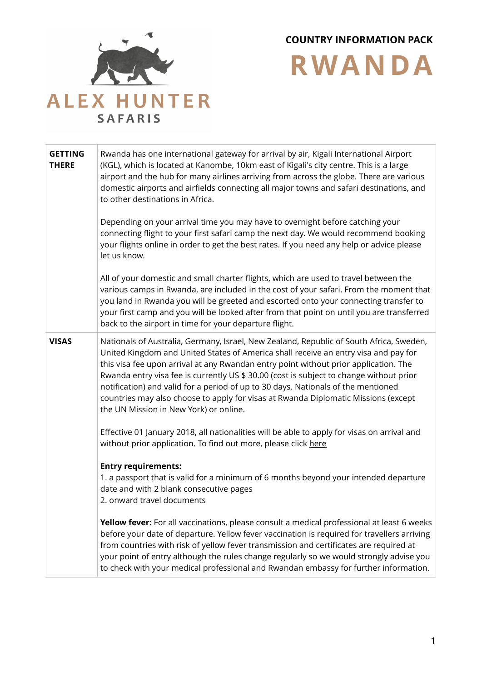

**COUNTRY INFORMATION PACK** 

**RWANDA**

**GETTING THERE** Rwanda has one international gateway for arrival by air, Kigali International Airport (KGL), which is located at Kanombe, 10km east of Kigali's city centre. This is a large airport and the hub for many airlines arriving from across the globe. There are various domestic airports and airfields connecting all major towns and safari destinations, and to other destinations in Africa. Depending on your arrival time you may have to overnight before catching your connecting flight to your first safari camp the next day. We would recommend booking your flights online in order to get the best rates. If you need any help or advice please let us know. All of your domestic and small charter flights, which are used to travel between the various camps in Rwanda, are included in the cost of your safari. From the moment that you land in Rwanda you will be greeted and escorted onto your connecting transfer to your first camp and you will be looked after from that point on until you are transferred back to the airport in time for your departure flight. **VISAS** Nationals of Australia, Germany, Israel, New Zealand, Republic of South Africa, Sweden, United Kingdom and United States of America shall receive an entry visa and pay for this visa fee upon arrival at any Rwandan entry point without prior application. The Rwanda entry visa fee is currently US \$ 30.00 (cost is subject to change without prior notification) and valid for a period of up to 30 days. Nationals of the mentioned countries may also choose to apply for visas at Rwanda Diplomatic Missions (except the UN Mission in New York) or online. Effective 01 January 2018, all nationalities will be able to apply for visas on arrival and without prior application. To find out more, please click [here](https://www.migration.gov.rw/index.php?id=13) **Entry requirements:** 1. a passport that is valid for a minimum of 6 months beyond your intended departure date and with 2 blank consecutive pages 2. onward travel documents **Yellow fever:** For all vaccinations, please consult a medical professional at least 6 weeks before your date of departure. Yellow fever vaccination is required for travellers arriving from countries with risk of yellow fever transmission and certificates are required at your point of entry although the rules change regularly so we would strongly advise you to check with your medical professional and Rwandan embassy for further information.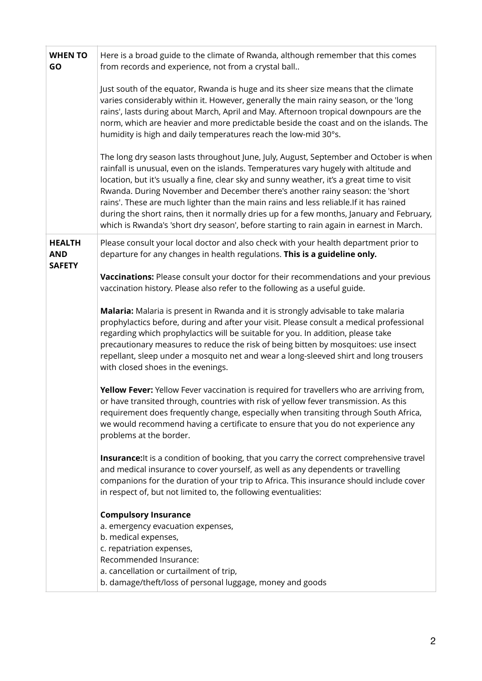| Here is a broad guide to the climate of Rwanda, although remember that this comes<br>from records and experience, not from a crystal ball                                                                                                                                                                                                                                                                                                                                                                                                                                                                                                        |
|--------------------------------------------------------------------------------------------------------------------------------------------------------------------------------------------------------------------------------------------------------------------------------------------------------------------------------------------------------------------------------------------------------------------------------------------------------------------------------------------------------------------------------------------------------------------------------------------------------------------------------------------------|
| Just south of the equator, Rwanda is huge and its sheer size means that the climate<br>varies considerably within it. However, generally the main rainy season, or the 'long<br>rains', lasts during about March, April and May. Afternoon tropical downpours are the<br>norm, which are heavier and more predictable beside the coast and on the islands. The<br>humidity is high and daily temperatures reach the low-mid 30°s.                                                                                                                                                                                                                |
| The long dry season lasts throughout June, July, August, September and October is when<br>rainfall is unusual, even on the islands. Temperatures vary hugely with altitude and<br>location, but it's usually a fine, clear sky and sunny weather, it's a great time to visit<br>Rwanda. During November and December there's another rainy season: the 'short<br>rains'. These are much lighter than the main rains and less reliable. If it has rained<br>during the short rains, then it normally dries up for a few months, January and February,<br>which is Rwanda's 'short dry season', before starting to rain again in earnest in March. |
| Please consult your local doctor and also check with your health department prior to<br>departure for any changes in health regulations. This is a guideline only.                                                                                                                                                                                                                                                                                                                                                                                                                                                                               |
| Vaccinations: Please consult your doctor for their recommendations and your previous<br>vaccination history. Please also refer to the following as a useful guide.                                                                                                                                                                                                                                                                                                                                                                                                                                                                               |
| Malaria: Malaria is present in Rwanda and it is strongly advisable to take malaria<br>prophylactics before, during and after your visit. Please consult a medical professional<br>regarding which prophylactics will be suitable for you. In addition, please take<br>precautionary measures to reduce the risk of being bitten by mosquitoes: use insect<br>repellant, sleep under a mosquito net and wear a long-sleeved shirt and long trousers<br>with closed shoes in the evenings.                                                                                                                                                         |
| Yellow Fever: Yellow Fever vaccination is required for travellers who are arriving from,<br>or have transited through, countries with risk of yellow fever transmission. As this<br>requirement does frequently change, especially when transiting through South Africa,<br>we would recommend having a certificate to ensure that you do not experience any<br>problems at the border.                                                                                                                                                                                                                                                          |
| Insurance: It is a condition of booking, that you carry the correct comprehensive travel<br>and medical insurance to cover yourself, as well as any dependents or travelling<br>companions for the duration of your trip to Africa. This insurance should include cover<br>in respect of, but not limited to, the following eventualities:                                                                                                                                                                                                                                                                                                       |
| <b>Compulsory Insurance</b><br>a. emergency evacuation expenses,<br>b. medical expenses,<br>c. repatriation expenses,<br>Recommended Insurance:<br>a. cancellation or curtailment of trip,<br>b. damage/theft/loss of personal luggage, money and goods                                                                                                                                                                                                                                                                                                                                                                                          |
|                                                                                                                                                                                                                                                                                                                                                                                                                                                                                                                                                                                                                                                  |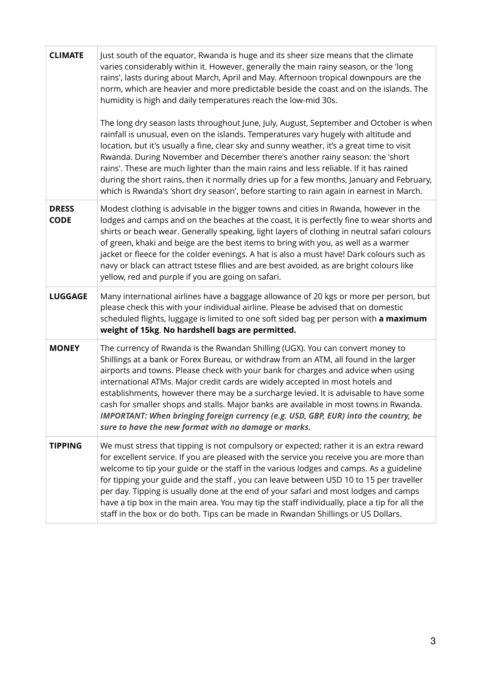| <b>CLIMATE</b>              | Just south of the equator, Rwanda is huge and its sheer size means that the climate<br>varies considerably within it. However, generally the main rainy season, or the 'long<br>rains', lasts during about March, April and May. Afternoon tropical downpours are the<br>norm, which are heavier and more predictable beside the coast and on the islands. The<br>humidity is high and daily temperatures reach the low-mid 30s.<br>The long dry season lasts throughout June, July, August, September and October is when<br>rainfall is unusual, even on the islands. Temperatures vary hugely with altitude and<br>location, but it's usually a fine, clear sky and sunny weather, it's a great time to visit<br>Rwanda. During November and December there's another rainy season: the 'short<br>rains'. These are much lighter than the main rains and less reliable. If it has rained<br>during the short rains, then it normally dries up for a few months, January and February,<br>which is Rwanda's 'short dry season', before starting to rain again in earnest in March. |
|-----------------------------|--------------------------------------------------------------------------------------------------------------------------------------------------------------------------------------------------------------------------------------------------------------------------------------------------------------------------------------------------------------------------------------------------------------------------------------------------------------------------------------------------------------------------------------------------------------------------------------------------------------------------------------------------------------------------------------------------------------------------------------------------------------------------------------------------------------------------------------------------------------------------------------------------------------------------------------------------------------------------------------------------------------------------------------------------------------------------------------|
| <b>DRESS</b><br><b>CODE</b> | Modest clothing is advisable in the bigger towns and cities in Rwanda, however in the<br>lodges and camps and on the beaches at the coast, it is perfectly fine to wear shorts and<br>shirts or beach wear. Generally speaking, light layers of clothing in neutral safari colours<br>of green, khaki and beige are the best items to bring with you, as well as a warmer<br>jacket or fleece for the colder evenings. A hat is also a must have! Dark colours such as<br>navy or black can attract tstese filies and are best avoided, as are bright colours like<br>yellow, red and purple if you are going on safari.                                                                                                                                                                                                                                                                                                                                                                                                                                                             |
| <b>LUGGAGE</b>              | Many international airlines have a baggage allowance of 20 kgs or more per person, but<br>please check this with your individual airline. Please be advised that on domestic<br>scheduled flights, luggage is limited to one soft sided bag per person with a maximum<br>weight of 15kg. No hardshell bags are permitted.                                                                                                                                                                                                                                                                                                                                                                                                                                                                                                                                                                                                                                                                                                                                                            |
| <b>MONEY</b>                | The currency of Rwanda is the Rwandan Shilling (UGX). You can convert money to<br>Shillings at a bank or Forex Bureau, or withdraw from an ATM, all found in the larger<br>airports and towns. Please check with your bank for charges and advice when using<br>international ATMs. Major credit cards are widely accepted in most hotels and<br>establishments, however there may be a surcharge levied. It is advisable to have some<br>cash for smaller shops and stalls. Major banks are available in most towns in Rwanda.<br>IMPORTANT: When bringing foreign currency (e.g. USD, GBP, EUR) into the country, be<br>sure to have the new format with no damage or marks.                                                                                                                                                                                                                                                                                                                                                                                                       |
| <b>TIPPING</b>              | We must stress that tipping is not compulsory or expected; rather it is an extra reward<br>for excellent service. If you are pleased with the service you receive you are more than<br>welcome to tip your guide or the staff in the various lodges and camps. As a guideline<br>for tipping your guide and the staff, you can leave between USD 10 to 15 per traveller<br>per day. Tipping is usually done at the end of your safari and most lodges and camps<br>have a tip box in the main area. You may tip the staff individually, place a tip for all the<br>staff in the box or do both. Tips can be made in Rwandan Shillings or US Dollars.                                                                                                                                                                                                                                                                                                                                                                                                                                 |